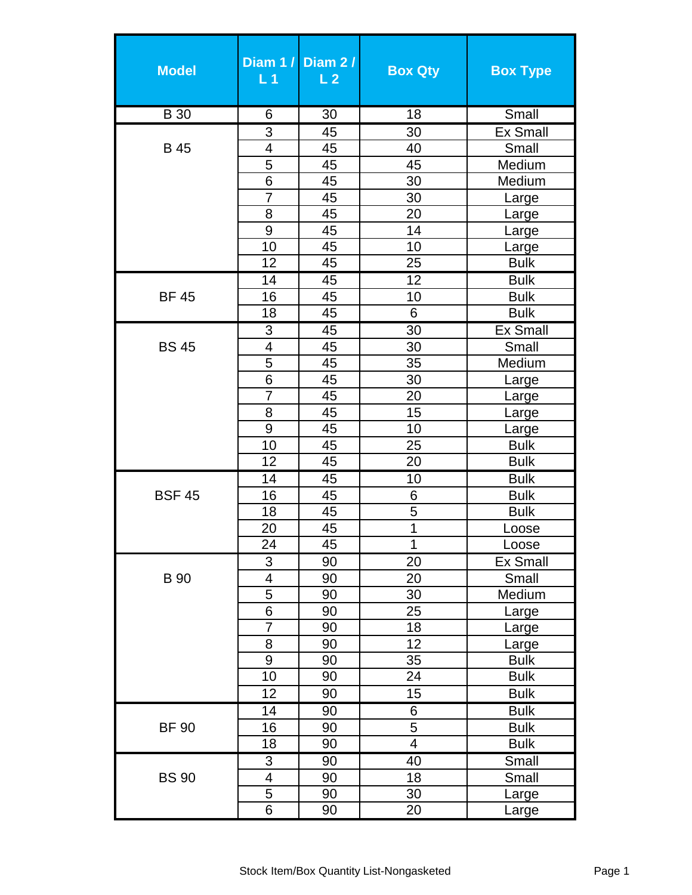| <b>Model</b>  | L <sub>1</sub>          | Diam 1 / Diam 2 /<br>L <sub>2</sub> | <b>Box Qty</b>           | <b>Box Type</b>      |
|---------------|-------------------------|-------------------------------------|--------------------------|----------------------|
| <b>B</b> 30   | 6                       | 30                                  | $\overline{18}$          | Small                |
|               | 3                       | 45                                  | 30                       | <b>Ex Small</b>      |
| <b>B</b> 45   | $\overline{4}$          | 45                                  | 40                       | Small                |
|               | 5                       | 45                                  | 45                       | Medium               |
|               | 6                       | 45                                  | 30                       | Medium               |
|               | $\overline{7}$          | 45                                  | 30                       | Large                |
|               | 8                       | 45                                  | 20                       | Large                |
|               | 9                       | 45                                  | 14                       | Large                |
|               | 10                      | 45                                  | 10                       | Large                |
|               | 12                      | 45                                  | 25                       | <b>Bulk</b>          |
|               | 14                      | 45                                  | 12                       | <b>Bulk</b>          |
| <b>BF 45</b>  | 16                      | 45                                  | 10                       | <b>Bulk</b>          |
|               | 18                      | 45                                  | 6                        | <b>Bulk</b>          |
|               | $\overline{3}$          | 45                                  | $\overline{30}$          | <b>Ex Small</b>      |
| <b>BS45</b>   | $\overline{4}$          | 45                                  | 30                       | Small                |
|               | $\overline{5}$          | 45                                  | 35                       | Medium               |
|               | $\overline{6}$          | 45                                  | 30                       | Large                |
|               | 7                       | 45                                  | 20                       | Large                |
|               | 8<br>$\overline{9}$     | 45<br>45                            | 15<br>10                 | Large                |
|               | 10                      | 45                                  | 25                       | Large<br><b>Bulk</b> |
|               | 12                      | 45                                  | 20                       | <b>Bulk</b>          |
|               | 14                      | 45                                  | 10                       | <b>Bulk</b>          |
| <b>BSF 45</b> | 16                      | 45                                  | 6                        | <b>Bulk</b>          |
|               | 18                      | 45                                  | 5                        | <b>Bulk</b>          |
|               | 20                      | 45                                  | 1                        | Loose                |
|               | 24                      | 45                                  | 1                        | Loose                |
|               | $\overline{3}$          | 90                                  | 20                       | Ex Small             |
| <b>B</b> 90   | $\overline{\mathbf{4}}$ | 90                                  | 20                       | Small                |
|               | 5                       | 90                                  | 30                       | Medium               |
|               | $\overline{6}$          | 90                                  | 25                       | Large                |
|               | $\overline{7}$          | 90                                  | 18                       | Large                |
|               | 8                       | 90                                  | 12                       | Large                |
|               | 9                       | 90                                  | 35                       | <b>Bulk</b>          |
|               | 10                      | 90                                  | 24                       | <b>Bulk</b>          |
|               | 12                      | 90                                  | 15                       | <b>Bulk</b>          |
|               | 14                      | 90                                  | 6                        | <b>Bulk</b>          |
| <b>BF 90</b>  | 16                      | 90                                  | 5                        | <b>Bulk</b>          |
|               | 18                      | 90                                  | $\overline{\mathcal{A}}$ | <b>Bulk</b>          |
|               | 3                       | 90                                  | 40                       | Small                |
| <b>BS 90</b>  | 4                       | 90                                  | 18                       | Small                |
|               | $\overline{5}$          | 90                                  | 30                       | <u>Large</u>         |
|               | 6                       | 90                                  | 20                       | Large                |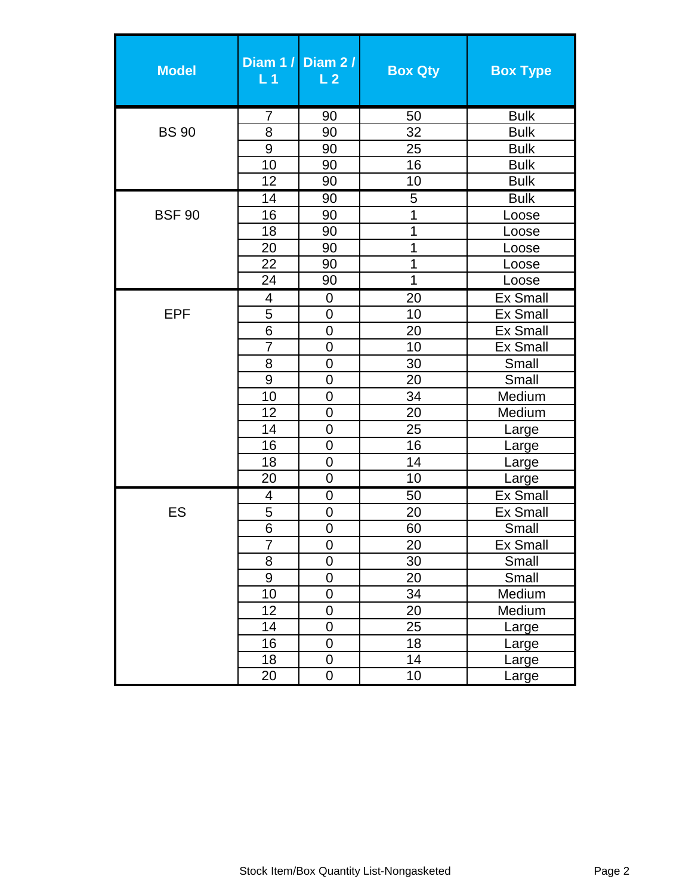| <b>Model</b>  | L <sub>1</sub>           | Diam 1 / Diam 2 /<br>L <sub>2</sub> | <b>Box Qty</b> | <b>Box Type</b> |
|---------------|--------------------------|-------------------------------------|----------------|-----------------|
|               | 7                        | 90                                  | 50             | <b>Bulk</b>     |
| <b>BS 90</b>  | 8                        | 90                                  | 32             | <b>Bulk</b>     |
|               | 9                        | 90                                  | 25             | <b>Bulk</b>     |
|               | 10                       | 90                                  | 16             | <b>Bulk</b>     |
|               | 12                       | 90                                  | 10             | <b>Bulk</b>     |
|               | 14                       | 90                                  | 5              | <b>Bulk</b>     |
| <b>BSF 90</b> | 16                       | 90                                  | 1              | Loose           |
|               | 18                       | 90                                  | $\overline{1}$ | Loose           |
|               | 20                       | 90                                  | $\overline{1}$ | Loose           |
|               | 22                       | 90                                  | 1              | Loose           |
|               | 24                       | 90                                  | 1              | Loose           |
|               | $\overline{\mathcal{A}}$ | $\mathbf 0$                         | 20             | <b>Ex Small</b> |
| <b>EPF</b>    | 5                        | $\overline{0}$                      | 10             | <b>Ex Small</b> |
|               | 6                        | $\mathbf 0$                         | 20             | <b>Ex Small</b> |
|               | 7                        | $\overline{0}$                      | 10             | <b>Ex Small</b> |
|               | 8                        | $\overline{0}$                      | 30             | Small           |
|               | 9                        | $\mathbf 0$                         | 20             | Small           |
|               | 10                       | $\overline{0}$                      | 34             | Medium          |
|               | 12                       | $\mathbf 0$                         | 20             | Medium          |
|               | 14                       | $\overline{0}$                      | 25             | Large           |
|               | 16                       | $\overline{0}$                      | 16             | Large           |
|               | 18                       | $\overline{0}$                      | 14             | Large           |
|               | 20                       | $\overline{0}$                      | 10             | Large           |
|               | 4                        | $\mathbf 0$                         | 50             | <b>Ex Small</b> |
| ES            | $\overline{5}$           | $\overline{0}$                      | 20             | <b>Ex Small</b> |
|               | 6                        | $\overline{0}$                      | 60             | Small           |
|               | 7                        | $\mathbf 0$                         | 20             | <b>Ex Small</b> |
|               | 8                        | $\overline{0}$                      | 30             | Small           |
|               | 9                        | $\overline{0}$                      | 20             | Small           |
|               | 10                       | $\mathbf 0$                         | 34             | Medium          |
|               | 12                       | $\pmb{0}$                           | 20             | Medium          |
|               | 14                       | $\overline{0}$                      | 25             | Large           |
|               | 16                       | $\mathbf 0$                         | 18             | Large           |
|               | 18                       | $\mathbf 0$                         | 14             | Large           |
|               | 20                       | $\pmb{0}$                           | 10             | Large           |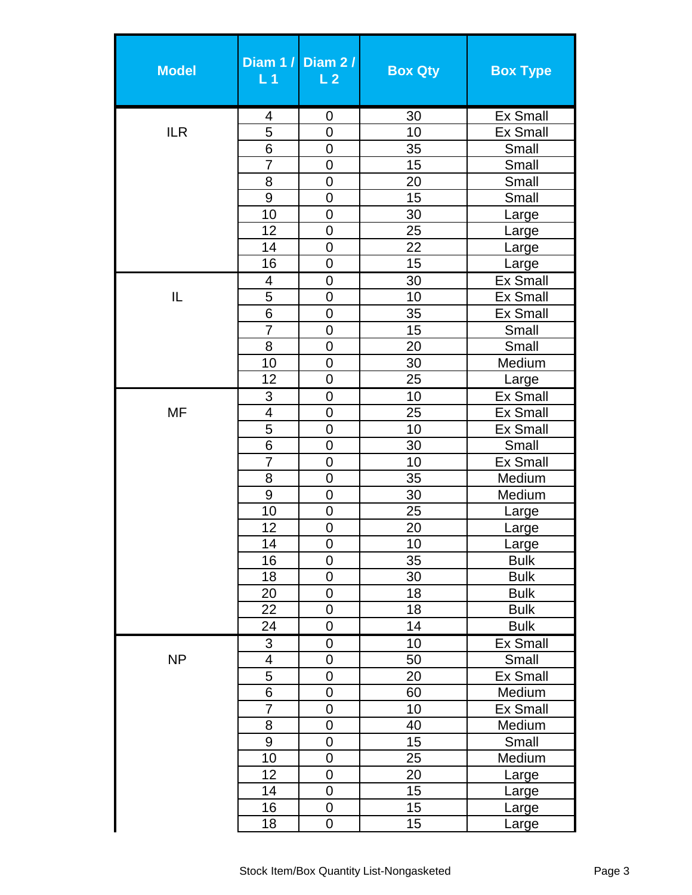| <b>Model</b> | L <sub>1</sub>           | Diam 1 / Diam 2 /<br>L <sub>2</sub> | <b>Box Qty</b> | <b>Box Type</b>           |
|--------------|--------------------------|-------------------------------------|----------------|---------------------------|
|              | 4                        | 0                                   | 30             | <b>Ex Small</b>           |
| <b>ILR</b>   | 5                        | $\overline{0}$                      | 10             | <b>Ex Small</b>           |
|              | 6                        | $\mathbf 0$                         | 35             | Small                     |
|              | 7                        | $\overline{0}$                      | 15             | Small                     |
|              | 8                        | $\overline{0}$                      | 20             | Small                     |
|              | 9                        | $\mathbf 0$                         | 15             | Small                     |
|              | 10                       | $\overline{0}$                      | 30             | Large                     |
|              | 12                       | $\mathbf 0$                         | 25             | Large                     |
|              | 14                       | $\mathbf 0$                         | 22             | Large                     |
|              | 16                       | $\mathbf 0$                         | 15             | Large                     |
|              | 4                        | 0                                   | 30             | <b>Ex Small</b>           |
| IL           | 5                        | $\overline{0}$                      | 10             | <b>Ex Small</b>           |
|              | 6                        | $\overline{0}$                      | 35             | <b>Ex Small</b>           |
|              | $\overline{7}$           | $\overline{0}$                      | 15             | Small                     |
|              | $\overline{8}$           | $\mathbf 0$                         | 20             | Small                     |
|              | 10                       | $\overline{0}$                      | 30             | Medium                    |
|              | 12                       | $\mathbf 0$                         | 25             | Large                     |
|              | 3                        | $\overline{0}$                      | 10             | <b>Ex Small</b>           |
| <b>MF</b>    | $\overline{\mathcal{A}}$ | $\mathbf 0$                         | 25             | <b>Ex Small</b>           |
|              | 5                        | $\mathbf 0$                         | 10             | <b>Ex Small</b>           |
|              | 6                        | $\overline{0}$                      | 30             | Small                     |
|              | 7                        | $\overline{0}$                      | 10             | <b>Ex Small</b>           |
|              | 8                        | $\overline{0}$                      | 35             | Medium                    |
|              | 9                        | $\mathbf 0$                         | 30             | Medium                    |
|              | 10                       | $\mathbf 0$                         | 25             | Large                     |
|              | 12                       | $\mathbf 0$                         | 20             | Large                     |
|              | 14                       | 0                                   | 10             | Large                     |
|              | 16                       | $\overline{0}$                      | 35             | <b>Bulk</b>               |
|              | 18                       | $\mathbf 0$                         | 30             | <b>Bulk</b>               |
|              | 20                       | $\overline{0}$                      | 18             | <b>Bulk</b>               |
|              | 22                       | $\boldsymbol{0}$                    | 18             | <b>Bulk</b>               |
|              | 24                       | $\mathbf 0$                         | 14             | <b>Bulk</b>               |
|              | $\overline{3}$           | $\boldsymbol{0}$                    | 10             | <b>Ex Small</b>           |
| <b>NP</b>    | 4                        | $\mathbf 0$<br>$\overline{0}$       | 50             | Small                     |
|              | 5<br>6                   | $\mathbf 0$                         | 20             | <b>Ex Small</b>           |
|              | $\overline{7}$           | $\overline{0}$                      | 60<br>10       | Medium<br><b>Ex Small</b> |
|              | 8                        | $\mathbf 0$                         | 40             | Medium                    |
|              | 9                        | $\mathbf 0$                         | 15             | Small                     |
|              | 10                       | $\boldsymbol{0}$                    | 25             | Medium                    |
|              | 12                       | $\overline{0}$                      | 20             | Large                     |
|              | 14                       | $\overline{0}$                      | 15             | Large                     |
|              | 16                       | $\mathbf 0$                         | 15             | Large                     |
|              | 18                       | $\mathbf 0$                         | 15             | Large                     |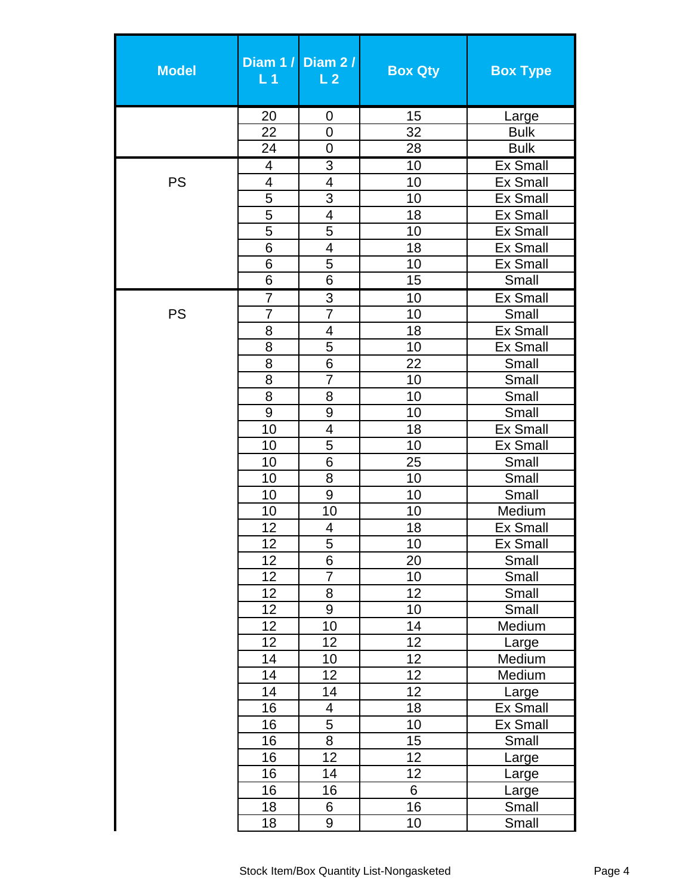| <b>Model</b> | L <sub>1</sub> | Diam 1 / Diam 2 /<br>L <sub>2</sub> | <b>Box Qty</b> | <b>Box Type</b>                |
|--------------|----------------|-------------------------------------|----------------|--------------------------------|
|              | 20             | 0                                   | 15             | Large                          |
|              | 22             | $\overline{0}$                      | 32             | <b>Bulk</b>                    |
|              | 24             | 0                                   | 28             | <b>Bulk</b>                    |
|              | 4              | 3                                   | 10             | <b>Ex Small</b>                |
| <b>PS</b>    | 4              | 4                                   | 10             | <b>Ex Small</b>                |
|              | 5              | 3                                   | 10             | <b>Ex Small</b>                |
|              | 5              | $\overline{\mathbf{4}}$             | 18             | <b>Ex Small</b>                |
|              | $\overline{5}$ | $\overline{5}$                      | 10             | <b>Ex Small</b>                |
|              | 6              | 4                                   | 18             | <b>Ex Small</b>                |
|              | 6              | 5                                   | 10             | <b>Ex Small</b>                |
|              | 6              | 6                                   | 15             | Small                          |
|              | $\overline{7}$ | $\overline{3}$                      | 10             | <b>Ex Small</b>                |
| <b>PS</b>    | 7              | 7                                   | 10             | Small                          |
|              | 8              | 4                                   | 18             | Ex Small                       |
|              | 8              | 5                                   | 10             | <b>Ex Small</b>                |
|              | 8              | $\overline{6}$                      | 22             | Small                          |
|              | 8              | $\overline{7}$                      | 10             | Small                          |
|              | 8              | 8                                   | 10             | Small                          |
|              | 9              | 9                                   | 10             | Small                          |
|              | 10             | 4                                   | 18             | <b>Ex Small</b>                |
|              | 10             | 5                                   | 10             | <b>Ex Small</b>                |
|              | 10             | 6                                   | 25             | Small                          |
|              | 10             | 8                                   | 10             | Small                          |
|              | 10             | 9                                   | 10             | Small                          |
|              | 10             | 10                                  | 10             | Medium                         |
|              | 12             | 4                                   | 18             | <b>Ex Small</b>                |
|              | 12             | 5                                   | 10             | $\overline{\mathsf{Ex}}$ Small |
|              | 12             | $\overline{6}$                      | 20             | Small                          |
|              | 12             | $\overline{7}$                      | 10             | Small                          |
|              | 12             | 8                                   | 12             | Small                          |
|              | 12             | 9                                   | 10             | Small                          |
|              | 12             | 10                                  | 14             | Medium                         |
|              | 12             | 12                                  | 12             | Large                          |
|              | 14             | 10                                  | 12             | Medium                         |
|              | 14             | 12                                  | 12             | Medium                         |
|              | 14             | 14                                  | 12             | Large                          |
|              | 16<br>16       | 4<br>$\overline{5}$                 | 18<br>10       | <b>Ex Small</b>                |
|              | 16             | 8                                   | 15             | Ex Small<br>Small              |
|              | 16             | 12                                  | 12             |                                |
|              | 16             | 14                                  | 12             | Large<br>Large                 |
|              | 16             | 16                                  | 6              | Large                          |
|              | 18             | 6                                   | 16             | Small                          |
|              | 18             | 9                                   | 10             | Small                          |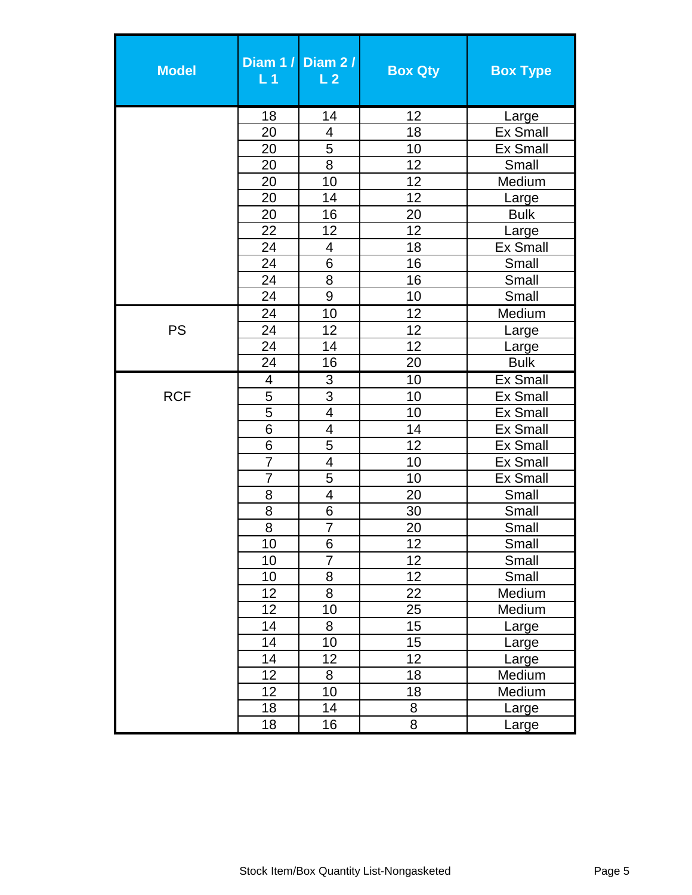| <b>Model</b> | Diam $1/$<br>L <sub>1</sub> | Diam 2/<br>$\overline{L}$ 2 | <b>Box Qty</b> | <b>Box Type</b> |
|--------------|-----------------------------|-----------------------------|----------------|-----------------|
|              | 18                          | 14                          | 12             | Large           |
|              | 20                          | $\overline{4}$              | 18             | <b>Ex Small</b> |
|              | 20                          | 5                           | 10             | <b>Ex Small</b> |
|              | 20                          | 8                           | 12             | Small           |
|              | 20                          | 10                          | 12             | Medium          |
|              | 20                          | 14                          | 12             | Large           |
|              | 20                          | 16                          | 20             | <b>Bulk</b>     |
|              | 22                          | 12                          | 12             | Large           |
|              | 24                          | $\overline{4}$              | 18             | <b>Ex Small</b> |
|              | 24                          | $6\phantom{1}6$             | 16             | Small           |
|              | 24                          | 8                           | 16             | Small           |
|              | 24                          | 9                           | 10             | Small           |
|              | 24                          | 10                          | 12             | Medium          |
| <b>PS</b>    | 24                          | 12                          | 12             | Large           |
|              | 24                          | 14                          | 12             | Large           |
|              | 24                          | 16                          | 20             | <b>Bulk</b>     |
|              | 4                           | 3                           | 10             | <b>Ex Small</b> |
| <b>RCF</b>   | 5                           | $\overline{3}$              | 10             | <b>Ex Small</b> |
|              | $\overline{5}$              | $\overline{4}$              | 10             | <b>Ex Small</b> |
|              | 6                           | $\overline{4}$              | 14             | <b>Ex Small</b> |
|              | 6                           | 5                           | 12             | <b>Ex Small</b> |
|              | 7                           | $\overline{4}$              | 10             | <b>Ex Small</b> |
|              | $\overline{7}$              | 5                           | 10             | <b>Ex Small</b> |
|              | 8                           | $\overline{4}$              | 20             | Small           |
|              | 8                           | 6                           | 30             | Small           |
|              | 8                           | 7                           | 20             | Small           |
|              | 10                          | 6                           | 12             | Small           |
|              | 10                          | $\overline{7}$              | 12             | Small           |
|              | 10                          | 8                           | 12             | Small           |
|              | 12                          | 8                           | 22             | Medium          |
|              | 12                          | 10                          | 25             | Medium          |
|              | 14                          | 8                           | 15             | Large           |
|              | 14                          | 10                          | 15             | Large           |
|              | 14                          | 12                          | 12             | Large           |
|              | 12                          | 8                           | 18             | Medium          |
|              | 12                          | 10                          | 18             | Medium          |
|              | 18                          | 14                          | 8              | Large           |
|              | 18                          | 16                          | 8              | Large           |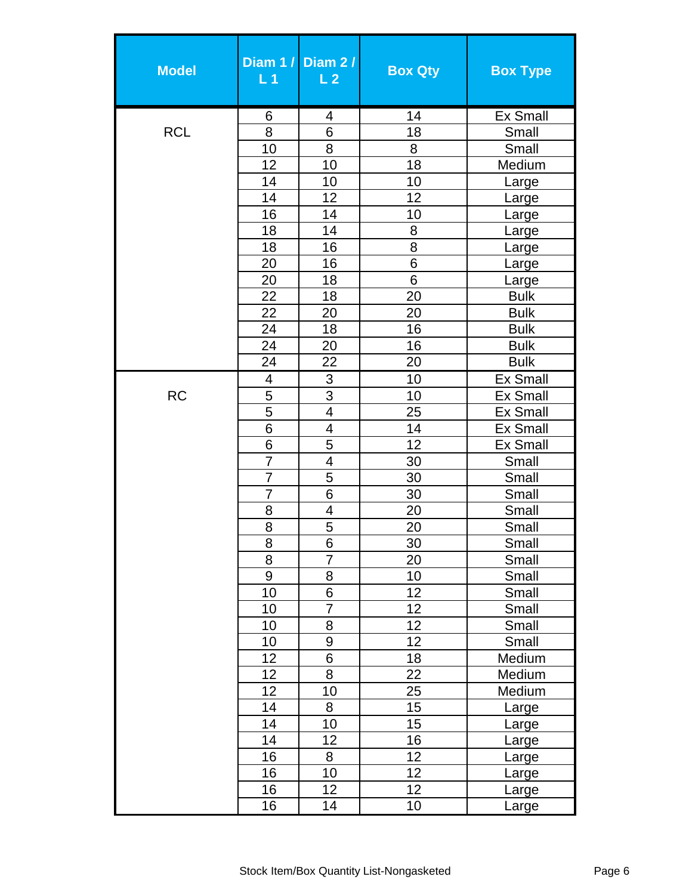| <b>Model</b> | L <sub>1</sub>          | Diam 1 / Diam 2 /<br>L <sub>2</sub> | <b>Box Qty</b>  | <b>Box Type</b>       |
|--------------|-------------------------|-------------------------------------|-----------------|-----------------------|
|              | 6                       | 4                                   | 14              | <b>Ex Small</b>       |
| <b>RCL</b>   | $\overline{8}$          | $\overline{6}$                      | 18              | Small                 |
|              | 10                      | 8                                   | 8               | Small                 |
|              | 12                      | 10                                  | 18              | Medium                |
|              | 14                      | 10                                  | 10              | Large                 |
|              | 14                      | 12                                  | 12              | Large                 |
|              | 16                      | 14                                  | 10              | Large                 |
|              | 18                      | 14                                  | 8               | Large                 |
|              | 18                      | 16                                  | 8               | Large                 |
|              | 20                      | 16                                  | 6               | Large                 |
|              | 20                      | 18                                  | $6\phantom{1}6$ | Large                 |
|              | 22                      | 18                                  | 20              | <b>Bulk</b>           |
|              | 22                      | 20                                  | 20              | <b>Bulk</b>           |
|              | 24                      | 18                                  | 16              | <b>Bulk</b>           |
|              | 24                      | 20                                  | 16              | <b>Bulk</b>           |
|              | 24                      | 22                                  | 20              | <b>Bulk</b>           |
|              | $\overline{\mathbf{4}}$ | 3                                   | 10              | <b>Ex Small</b>       |
| <b>RC</b>    | 5                       | 3                                   | 10              | <b>Ex Small</b>       |
|              | $\overline{5}$          | $\overline{4}$                      | 25              | <b>Ex Small</b>       |
|              | 6                       | 4                                   | 14              | <b>Ex Small</b>       |
|              | 6                       | 5                                   | 12              | <b>Ex Small</b>       |
|              | $\overline{7}$          | $\overline{\mathbf{4}}$             | 30              | Small                 |
|              | $\overline{7}$          | $\overline{5}$                      | 30              | Small                 |
|              | 7                       | 6                                   | 30              | Small                 |
|              | 8                       | $\overline{\mathcal{A}}$            | 20              | Small                 |
|              | 8                       | 5                                   | 20              | Small                 |
|              | 8                       | 6                                   | 30              | Small                 |
|              | $\overline{8}$          | $\overline{7}$                      | 20              | Small                 |
|              | $\overline{9}$          | 8<br>6                              | 10              | Small                 |
|              | 10                      |                                     | 12<br>12        | Small                 |
|              | 10<br>10                | $\overline{7}$<br>8                 | 12              | Small                 |
|              | 10                      | 9                                   | 12              | Small                 |
|              | 12                      | $\overline{6}$                      | 18              | Small<br>Medium       |
|              | 12                      | 8                                   | 22              | Medium                |
|              | 12                      | 10                                  | 25              | Medium                |
|              | 14                      | 8                                   | 15              |                       |
|              | 14                      | 10                                  | 15              | Large                 |
|              | 14                      | 12                                  | 16              | Large                 |
|              | 16                      | 8                                   | 12              | Large                 |
|              | 16                      | 10                                  | $\overline{12}$ | Large                 |
|              | 16                      | $\overline{1}2$                     | 12              | <u>Large</u><br>Large |
|              | 16                      | 14                                  | 10              | Large                 |